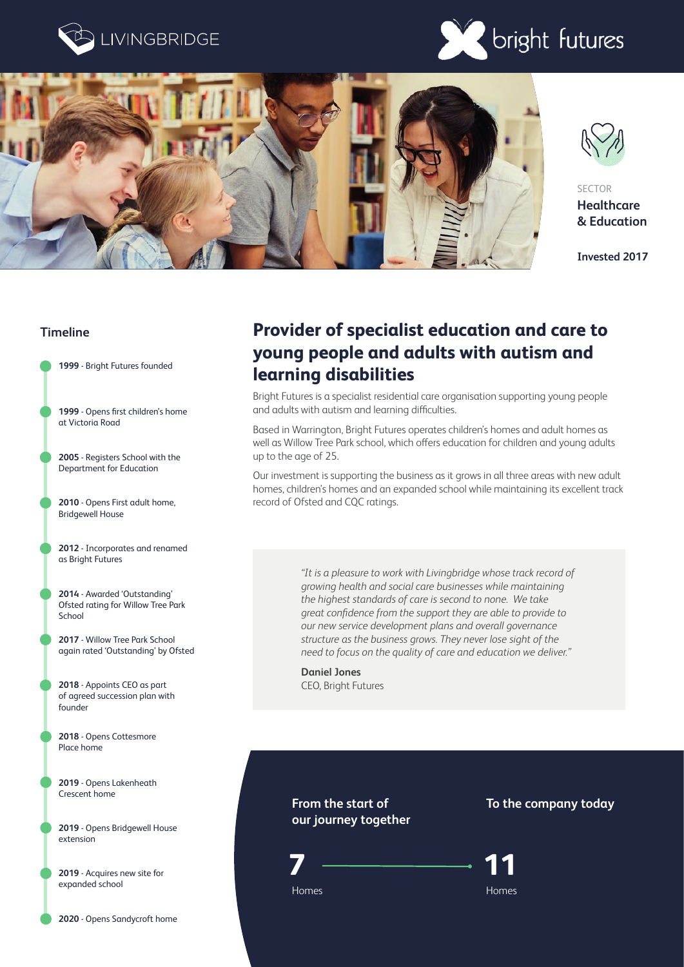







SECTOR **Healthcare & Education**

**Invested 2017**

### **Timeline**



- **1999** Opens first children's home at Victoria Road
- **2005** Registers School with the Department for Education
- **2010** Opens First adult home, Bridgewell House
- **2012** Incorporates and renamed as Bright Futures
- **2014** Awarded 'Outstanding' Ofsted rating for Willow Tree Park School
- **2017** Willow Tree Park School again rated 'Outstanding' by Ofsted
- **2018** Appoints CEO as part of agreed succession plan with founder
- **2018** Opens Cottesmore Place home
- **2019** Opens Lakenheath Crescent home
- **2019** Opens Bridgewell House extension
- **2019** Acquires new site for expanded school

## **Provider of specialist education and care to young people and adults with autism and learning disabilities**

Bright Futures is a specialist residential care organisation supporting young people and adults with autism and learning difficulties.

Based in Warrington, Bright Futures operates children's homes and adult homes as well as Willow Tree Park school, which offers education for children and young adults up to the age of 25.

Our investment is supporting the business as it grows in all three areas with new adult homes, children's homes and an expanded school while maintaining its excellent track record of Ofsted and CQC ratings.

> *"It is a pleasure to work with Livingbridge whose track record of growing health and social care businesses while maintaining the highest standards of care is second to none. We take great confidence from the support they are able to provide to our new service development plans and overall governance structure as the business grows. They never lose sight of the need to focus on the quality of care and education we deliver."*

**Daniel Jones** CEO, Bright Futures

## **From the start of our journey together**



**To the company today**



Homes Homes